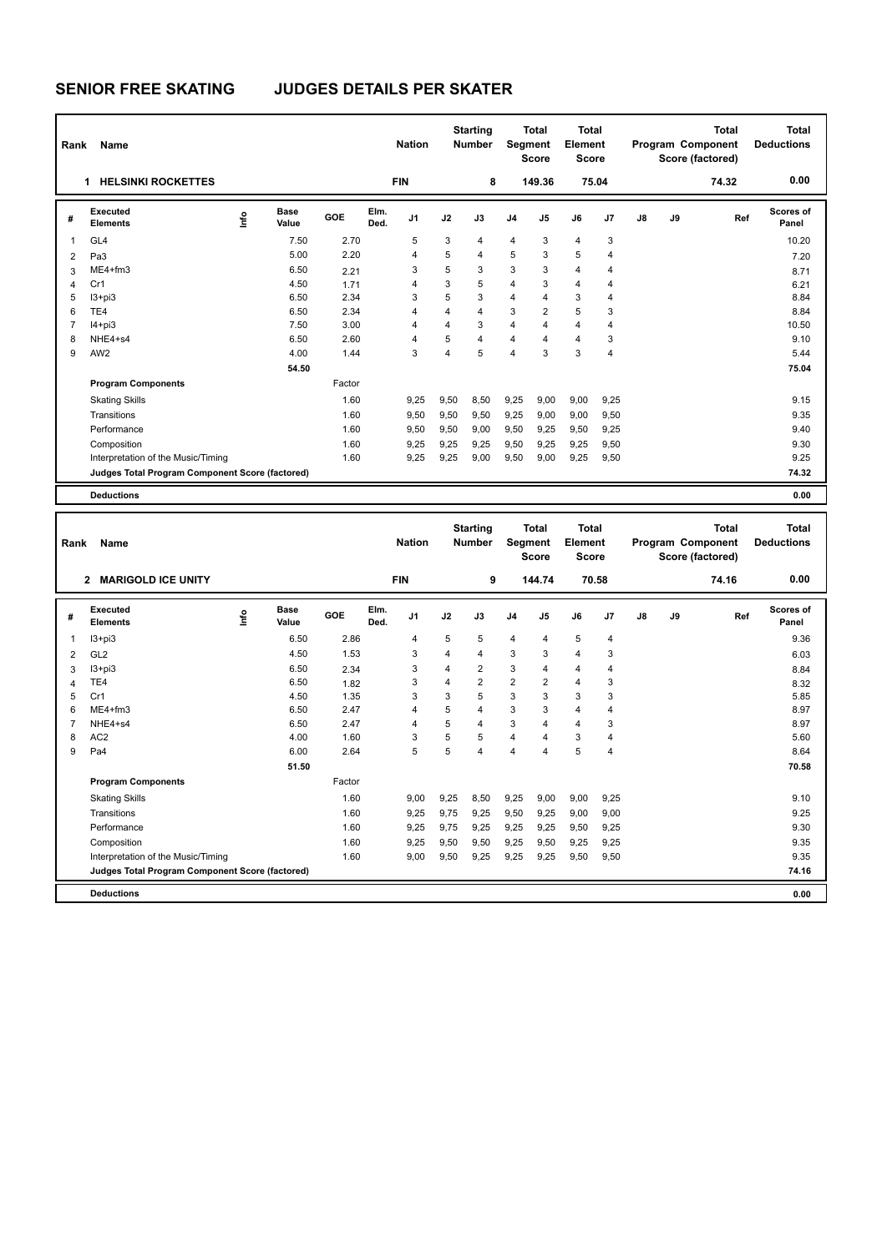| Rank           | Name                                            |                            |        |              | <b>Nation</b> |      | <b>Starting</b><br><b>Number</b> | Segment        | Total<br><b>Score</b> | <b>Total</b><br>Element<br><b>Score</b> |       |               |    | <b>Total</b><br><b>Program Component</b><br>Score (factored) | <b>Total</b><br><b>Deductions</b> |
|----------------|-------------------------------------------------|----------------------------|--------|--------------|---------------|------|----------------------------------|----------------|-----------------------|-----------------------------------------|-------|---------------|----|--------------------------------------------------------------|-----------------------------------|
|                | <b>HELSINKI ROCKETTES</b><br>1.                 |                            |        |              | <b>FIN</b>    |      | 8                                |                | 149.36                |                                         | 75.04 |               |    | 74.32                                                        | 0.00                              |
| #              | Executed<br><b>Elements</b>                     | <b>Base</b><br>۴ů<br>Value | GOE    | Elm.<br>Ded. | J1            | J2   | J3                               | J <sub>4</sub> | J5                    | J6                                      | J7    | $\mathsf{J}8$ | J9 | Ref                                                          | Scores of<br>Panel                |
| $\overline{1}$ | GL <sub>4</sub>                                 | 7.50                       | 2.70   |              | 5             | 3    | 4                                | $\overline{4}$ | 3                     | $\overline{4}$                          | 3     |               |    |                                                              | 10.20                             |
| $\overline{2}$ | Pa3                                             | 5.00                       | 2.20   |              | 4             | 5    | $\overline{4}$                   | 5              | 3                     | 5                                       | 4     |               |    |                                                              | 7.20                              |
| 3              | $ME4 + fm3$                                     | 6.50                       | 2.21   |              | 3             | 5    | 3                                | 3              | 3                     | $\overline{4}$                          | 4     |               |    |                                                              | 8.71                              |
| 4              | Cr1                                             | 4.50                       | 1.71   |              | 4             | 3    | 5                                | $\overline{4}$ | 3                     | $\overline{4}$                          | 4     |               |    |                                                              | 6.21                              |
| 5              | $13 + pi3$                                      | 6.50                       | 2.34   |              | 3             | 5    | 3                                | $\overline{4}$ | 4                     | 3                                       | 4     |               |    |                                                              | 8.84                              |
| 6              | TE4                                             | 6.50                       | 2.34   |              | 4             | 4    | $\overline{4}$                   | 3              | $\overline{2}$        | 5                                       | 3     |               |    |                                                              | 8.84                              |
| $\overline{7}$ | $I4 + pi3$                                      | 7.50                       | 3.00   |              | 4             | 4    | 3                                | $\overline{4}$ | 4                     | $\overline{4}$                          | 4     |               |    |                                                              | 10.50                             |
| 8              | NHE4+s4                                         | 6.50                       | 2.60   |              | 4             | 5    | 4                                | $\overline{4}$ | 4                     | $\overline{4}$                          | 3     |               |    |                                                              | 9.10                              |
| 9              | AW <sub>2</sub>                                 | 4.00                       | 1.44   |              | 3             | 4    | 5                                | $\overline{4}$ | 3                     | 3                                       | 4     |               |    |                                                              | 5.44                              |
|                |                                                 | 54.50                      |        |              |               |      |                                  |                |                       |                                         |       |               |    |                                                              | 75.04                             |
|                | <b>Program Components</b>                       |                            | Factor |              |               |      |                                  |                |                       |                                         |       |               |    |                                                              |                                   |
|                | <b>Skating Skills</b>                           |                            | 1.60   |              | 9,25          | 9,50 | 8,50                             | 9,25           | 9,00                  | 9,00                                    | 9,25  |               |    |                                                              | 9.15                              |
|                | Transitions                                     |                            | 1.60   |              | 9,50          | 9,50 | 9,50                             | 9,25           | 9,00                  | 9,00                                    | 9,50  |               |    |                                                              | 9.35                              |
|                | Performance                                     |                            | 1.60   |              | 9,50          | 9,50 | 9,00                             | 9,50           | 9,25                  | 9,50                                    | 9,25  |               |    |                                                              | 9.40                              |
|                | Composition                                     |                            | 1.60   |              | 9,25          | 9,25 | 9,25                             | 9,50           | 9,25                  | 9,25                                    | 9,50  |               |    |                                                              | 9.30                              |
|                | Interpretation of the Music/Timing              |                            | 1.60   |              | 9,25          | 9,25 | 9,00                             | 9,50           | 9,00                  | 9,25                                    | 9,50  |               |    |                                                              | 9.25                              |
|                | Judges Total Program Component Score (factored) |                            |        |              |               |      |                                  |                |                       |                                         |       |               |    |                                                              | 74.32                             |
|                | <b>Deductions</b>                               |                            |        |              |               |      |                                  |                |                       |                                         |       |               |    |                                                              | 0.00                              |

| Rank           | Name                                            |                     |        |              | <b>Nation</b>  |      | <b>Starting</b><br><b>Number</b> | Segment        | <b>Total</b><br><b>Score</b> | <b>Total</b><br>Element<br><b>Score</b> |       |               |    | <b>Total</b><br><b>Program Component</b><br>Score (factored) | <b>Total</b><br><b>Deductions</b> |
|----------------|-------------------------------------------------|---------------------|--------|--------------|----------------|------|----------------------------------|----------------|------------------------------|-----------------------------------------|-------|---------------|----|--------------------------------------------------------------|-----------------------------------|
|                | <b>MARIGOLD ICE UNITY</b><br>$\overline{2}$     |                     |        | <b>FIN</b>   |                |      | 9                                |                | 144.74                       |                                         | 70.58 |               |    | 74.16                                                        | 0.00                              |
| #              | Executed<br><b>Elements</b>                     | Base<br>١m<br>Value | GOE    | Elm.<br>Ded. | J <sub>1</sub> | J2   | J3                               | J <sub>4</sub> | J5                           | J6                                      | J7    | $\mathsf{J}8$ | J9 | Ref                                                          | Scores of<br>Panel                |
| 1              | $13 + pi3$                                      | 6.50                | 2.86   |              | $\overline{4}$ | 5    | 5                                | $\overline{4}$ | 4                            | 5                                       | 4     |               |    |                                                              | 9.36                              |
| 2              | GL <sub>2</sub>                                 | 4.50                | 1.53   |              | 3              | 4    | $\overline{4}$                   | 3              | 3                            | $\overline{4}$                          | 3     |               |    |                                                              | 6.03                              |
| 3              | $13 + pi3$                                      | 6.50                | 2.34   |              | 3              | 4    | $\overline{2}$                   | 3              | 4                            | $\overline{4}$                          | 4     |               |    |                                                              | 8.84                              |
| 4              | TE4                                             | 6.50                | 1.82   |              | 3              | 4    | $\overline{2}$                   | $\overline{2}$ | $\overline{2}$               | $\overline{4}$                          | 3     |               |    |                                                              | 8.32                              |
| 5              | Cr1                                             | 4.50                | 1.35   |              | 3              | 3    | 5                                | 3              | 3                            | 3                                       | 3     |               |    |                                                              | 5.85                              |
| 6              | $ME4 + fm3$                                     | 6.50                | 2.47   |              | 4              | 5    | 4                                | 3              | 3                            | 4                                       | 4     |               |    |                                                              | 8.97                              |
| $\overline{7}$ | NHE4+s4                                         | 6.50                | 2.47   |              | 4              | 5    | $\overline{4}$                   | 3              | 4                            | $\overline{4}$                          | 3     |               |    |                                                              | 8.97                              |
| 8              | AC <sub>2</sub>                                 | 4.00                | 1.60   |              | 3              | 5    | 5                                | $\overline{4}$ | 4                            | 3                                       | 4     |               |    |                                                              | 5.60                              |
| 9              | Pa4                                             | 6.00                | 2.64   |              | 5              | 5    | $\overline{4}$                   | $\overline{4}$ | 4                            | 5                                       | 4     |               |    |                                                              | 8.64                              |
|                |                                                 | 51.50               |        |              |                |      |                                  |                |                              |                                         |       |               |    |                                                              | 70.58                             |
|                | <b>Program Components</b>                       |                     | Factor |              |                |      |                                  |                |                              |                                         |       |               |    |                                                              |                                   |
|                | <b>Skating Skills</b>                           |                     | 1.60   |              | 9.00           | 9,25 | 8,50                             | 9,25           | 9,00                         | 9.00                                    | 9,25  |               |    |                                                              | 9.10                              |
|                | Transitions                                     |                     | 1.60   |              | 9,25           | 9.75 | 9,25                             | 9,50           | 9,25                         | 9,00                                    | 9,00  |               |    |                                                              | 9.25                              |
|                | Performance                                     |                     | 1.60   |              | 9,25           | 9,75 | 9,25                             | 9,25           | 9,25                         | 9,50                                    | 9,25  |               |    |                                                              | 9.30                              |
|                | Composition                                     |                     | 1.60   |              | 9,25           | 9,50 | 9,50                             | 9,25           | 9,50                         | 9,25                                    | 9,25  |               |    |                                                              | 9.35                              |
|                | Interpretation of the Music/Timing              |                     | 1.60   |              | 9.00           | 9,50 | 9.25                             | 9,25           | 9,25                         | 9.50                                    | 9.50  |               |    |                                                              | 9.35                              |
|                | Judges Total Program Component Score (factored) |                     |        |              |                |      |                                  |                |                              |                                         |       |               |    |                                                              | 74.16                             |
|                | <b>Deductions</b>                               |                     |        |              |                |      |                                  |                |                              |                                         |       |               |    |                                                              | 0.00                              |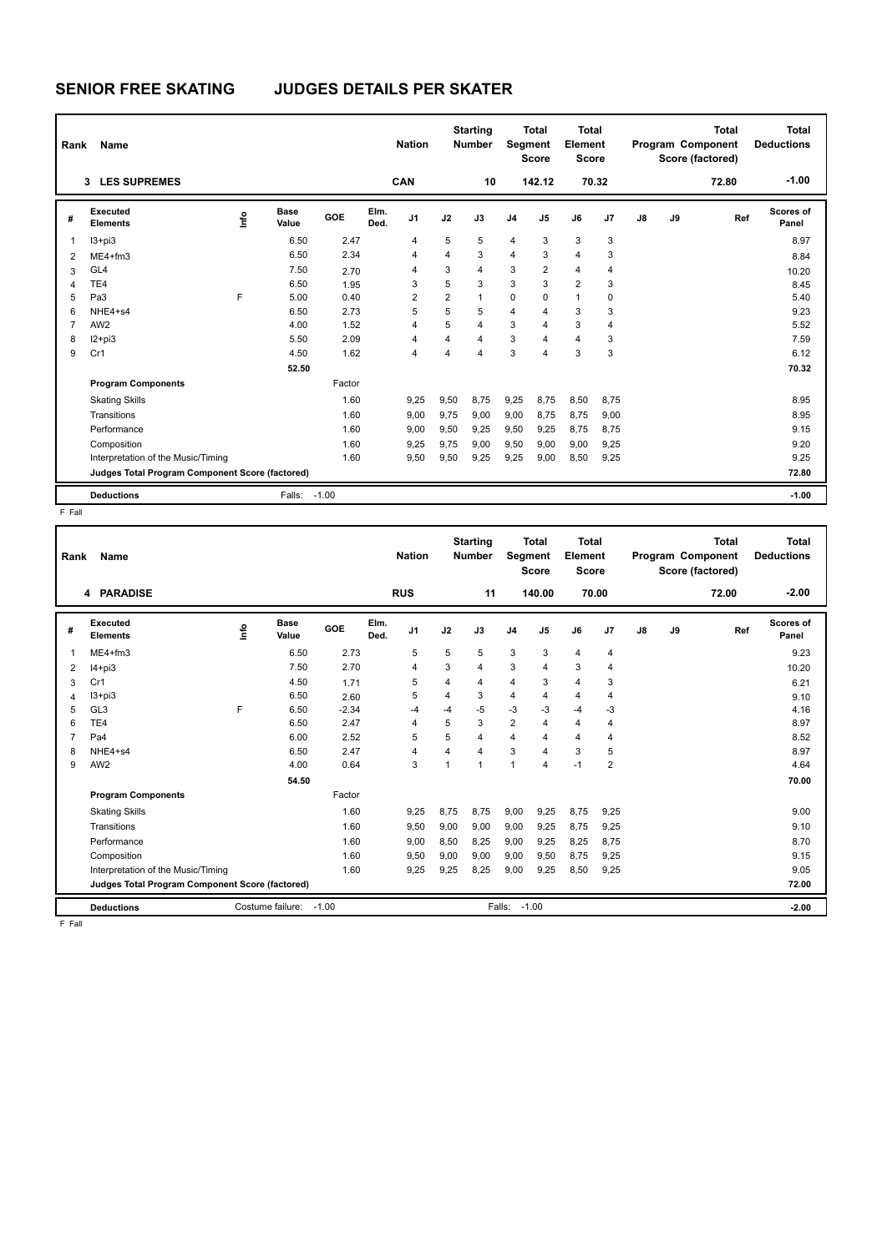| Rank           | Name                                            |   |               |         |              | <b>Nation</b>  |                | <b>Starting</b><br><b>Number</b> | Segment        | <b>Total</b><br>Score | <b>Total</b><br>Element<br><b>Score</b> |       |    |    | <b>Total</b><br><b>Program Component</b><br>Score (factored) | <b>Total</b><br><b>Deductions</b> |
|----------------|-------------------------------------------------|---|---------------|---------|--------------|----------------|----------------|----------------------------------|----------------|-----------------------|-----------------------------------------|-------|----|----|--------------------------------------------------------------|-----------------------------------|
|                | 3 LES SUPREMES                                  |   |               |         |              | CAN            |                | 10                               |                | 142.12                |                                         | 70.32 |    |    | 72.80                                                        | $-1.00$                           |
| #              | Executed<br><b>Elements</b>                     | ۴ | Base<br>Value | GOE     | Elm.<br>Ded. | J <sub>1</sub> | J2             | J3                               | J <sub>4</sub> | J <sub>5</sub>        | J6                                      | J7    | J8 | J9 | Ref                                                          | Scores of<br>Panel                |
| 1              | $13 + pi3$                                      |   | 6.50          | 2.47    |              | 4              | 5              | 5                                | $\overline{4}$ | 3                     | 3                                       | 3     |    |    |                                                              | 8.97                              |
| $\overline{2}$ | $ME4 + fm3$                                     |   | 6.50          | 2.34    |              | 4              | 4              | 3                                | $\overline{4}$ | 3                     | 4                                       | 3     |    |    |                                                              | 8.84                              |
| 3              | GL4                                             |   | 7.50          | 2.70    |              | 4              | 3              | 4                                | 3              | 2                     | 4                                       | 4     |    |    |                                                              | 10.20                             |
| 4              | TE4                                             |   | 6.50          | 1.95    |              | 3              | 5              | 3                                | 3              | 3                     | $\overline{2}$                          | 3     |    |    |                                                              | 8.45                              |
| 5              | Pa <sub>3</sub>                                 | F | 5.00          | 0.40    |              | $\overline{2}$ | $\overline{2}$ | $\mathbf{1}$                     | $\mathbf 0$    | 0                     | $\mathbf{1}$                            | 0     |    |    |                                                              | 5.40                              |
| 6              | NHE4+s4                                         |   | 6.50          | 2.73    |              | 5              | 5              | 5                                | $\overline{4}$ | 4                     | 3                                       | 3     |    |    |                                                              | 9.23                              |
| $\overline{7}$ | AW <sub>2</sub>                                 |   | 4.00          | 1.52    |              | $\overline{4}$ | 5              | 4                                | 3              | 4                     | 3                                       | 4     |    |    |                                                              | 5.52                              |
| 8              | $12+pi3$                                        |   | 5.50          | 2.09    |              | 4              | 4              | 4                                | 3              | 4                     | $\overline{4}$                          | 3     |    |    |                                                              | 7.59                              |
| 9              | Cr1                                             |   | 4.50          | 1.62    |              | 4              | 4              | $\Delta$                         | 3              | 4                     | 3                                       | 3     |    |    |                                                              | 6.12                              |
|                |                                                 |   | 52.50         |         |              |                |                |                                  |                |                       |                                         |       |    |    |                                                              | 70.32                             |
|                | <b>Program Components</b>                       |   |               | Factor  |              |                |                |                                  |                |                       |                                         |       |    |    |                                                              |                                   |
|                | <b>Skating Skills</b>                           |   |               | 1.60    |              | 9,25           | 9,50           | 8,75                             | 9,25           | 8,75                  | 8,50                                    | 8.75  |    |    |                                                              | 8.95                              |
|                | Transitions                                     |   |               | 1.60    |              | 9,00           | 9,75           | 9,00                             | 9,00           | 8,75                  | 8,75                                    | 9,00  |    |    |                                                              | 8.95                              |
|                | Performance                                     |   |               | 1.60    |              | 9,00           | 9,50           | 9,25                             | 9,50           | 9,25                  | 8,75                                    | 8,75  |    |    |                                                              | 9.15                              |
|                | Composition                                     |   |               | 1.60    |              | 9,25           | 9,75           | 9,00                             | 9,50           | 9,00                  | 9,00                                    | 9,25  |    |    |                                                              | 9.20                              |
|                | Interpretation of the Music/Timing              |   |               | 1.60    |              | 9,50           | 9,50           | 9,25                             | 9,25           | 9,00                  | 8,50                                    | 9,25  |    |    |                                                              | 9.25                              |
|                | Judges Total Program Component Score (factored) |   |               |         |              |                |                |                                  |                |                       |                                         |       |    |    |                                                              | 72.80                             |
|                | <b>Deductions</b>                               |   | Falls:        | $-1.00$ |              |                |                |                                  |                |                       |                                         |       |    |    |                                                              | $-1.00$                           |

F Fall

| Rank    | Name                                            |                  |                      |         |              | <b>Nation</b>  |                | <b>Starting</b><br><b>Number</b> | <b>Segment</b>    | Total<br><b>Score</b> | Total<br>Element<br><b>Score</b> |                |    |    | <b>Total</b><br>Program Component<br>Score (factored) | Total<br><b>Deductions</b> |
|---------|-------------------------------------------------|------------------|----------------------|---------|--------------|----------------|----------------|----------------------------------|-------------------|-----------------------|----------------------------------|----------------|----|----|-------------------------------------------------------|----------------------------|
|         | <b>PARADISE</b><br>4                            |                  |                      |         |              | <b>RUS</b>     |                | 11                               |                   | 140.00                | 70.00                            |                |    |    | 72.00                                                 | $-2.00$                    |
| #       | Executed<br><b>Elements</b>                     | ۴                | <b>Base</b><br>Value | GOE     | Elm.<br>Ded. | J <sub>1</sub> | J2             | J3                               | J <sub>4</sub>    | J <sub>5</sub>        | J6                               | J <sub>7</sub> | J8 | J9 | Ref                                                   | <b>Scores of</b><br>Panel  |
| 1       | $ME4 + fm3$                                     |                  | 6.50                 | 2.73    |              | 5              | 5              | 5                                | 3                 | 3                     | $\overline{4}$                   | 4              |    |    |                                                       | 9.23                       |
| 2       | $I4 + pi3$                                      |                  | 7.50                 | 2.70    |              | 4              | 3              | 4                                | 3                 | 4                     | 3                                | 4              |    |    |                                                       | 10.20                      |
| 3       | Cr1                                             |                  | 4.50                 | 1.71    |              | 5              | 4              | 4                                | $\overline{4}$    | 3                     | $\overline{4}$                   | 3              |    |    |                                                       | 6.21                       |
| 4       | I3+pi3                                          |                  | 6.50                 | 2.60    |              | 5              | $\overline{4}$ | 3                                | $\overline{4}$    | $\overline{4}$        | $\overline{4}$                   | 4              |    |    |                                                       | 9.10                       |
| 5       | GL <sub>3</sub>                                 | F                | 6.50                 | $-2.34$ |              | -4             | $-4$           | $-5$                             | $-3$              | -3                    | $-4$                             | $-3$           |    |    |                                                       | 4.16                       |
| 6       | TE4                                             |                  | 6.50                 | 2.47    |              | 4              | 5              | 3                                | $\overline{2}$    | 4                     | $\overline{4}$                   | 4              |    |    |                                                       | 8.97                       |
| 7       | Pa4                                             |                  | 6.00                 | 2.52    |              | 5              | 5              | 4                                | $\overline{4}$    | $\overline{4}$        | $\overline{4}$                   | 4              |    |    |                                                       | 8.52                       |
| 8       | NHE4+s4                                         |                  | 6.50                 | 2.47    |              | $\overline{4}$ | 4              | 4                                | 3                 | $\overline{4}$        | 3                                | 5              |    |    |                                                       | 8.97                       |
| 9       | AW <sub>2</sub>                                 |                  | 4.00                 | 0.64    |              | 3              |                | 1                                | 1                 | 4                     | $-1$                             | $\overline{2}$ |    |    |                                                       | 4.64                       |
|         |                                                 |                  | 54.50                |         |              |                |                |                                  |                   |                       |                                  |                |    |    |                                                       | 70.00                      |
|         | <b>Program Components</b>                       |                  |                      | Factor  |              |                |                |                                  |                   |                       |                                  |                |    |    |                                                       |                            |
|         | <b>Skating Skills</b>                           |                  |                      | 1.60    |              | 9,25           | 8,75           | 8,75                             | 9,00              | 9,25                  | 8,75                             | 9,25           |    |    |                                                       | 9.00                       |
|         | Transitions                                     |                  |                      | 1.60    |              | 9,50           | 9,00           | 9,00                             | 9,00              | 9,25                  | 8,75                             | 9,25           |    |    |                                                       | 9.10                       |
|         | Performance                                     |                  |                      | 1.60    |              | 9,00           | 8.50           | 8.25                             | 9,00              | 9,25                  | 8,25                             | 8.75           |    |    |                                                       | 8.70                       |
|         | Composition                                     |                  |                      | 1.60    |              | 9,50           | 9,00           | 9,00                             | 9,00              | 9,50                  | 8,75                             | 9,25           |    |    |                                                       | 9.15                       |
|         | Interpretation of the Music/Timing              |                  |                      | 1.60    |              | 9.25           | 9,25           | 8.25                             | 9,00              | 9,25                  | 8,50                             | 9.25           |    |    |                                                       | 9.05                       |
|         | Judges Total Program Component Score (factored) |                  |                      |         |              |                |                |                                  |                   |                       |                                  |                |    |    |                                                       | 72.00                      |
|         | <b>Deductions</b>                               | Costume failure: |                      | $-1.00$ |              |                |                |                                  | $-1.00$<br>Falls: |                       |                                  |                |    |    |                                                       | $-2.00$                    |
| E. Fall |                                                 |                  |                      |         |              |                |                |                                  |                   |                       |                                  |                |    |    |                                                       |                            |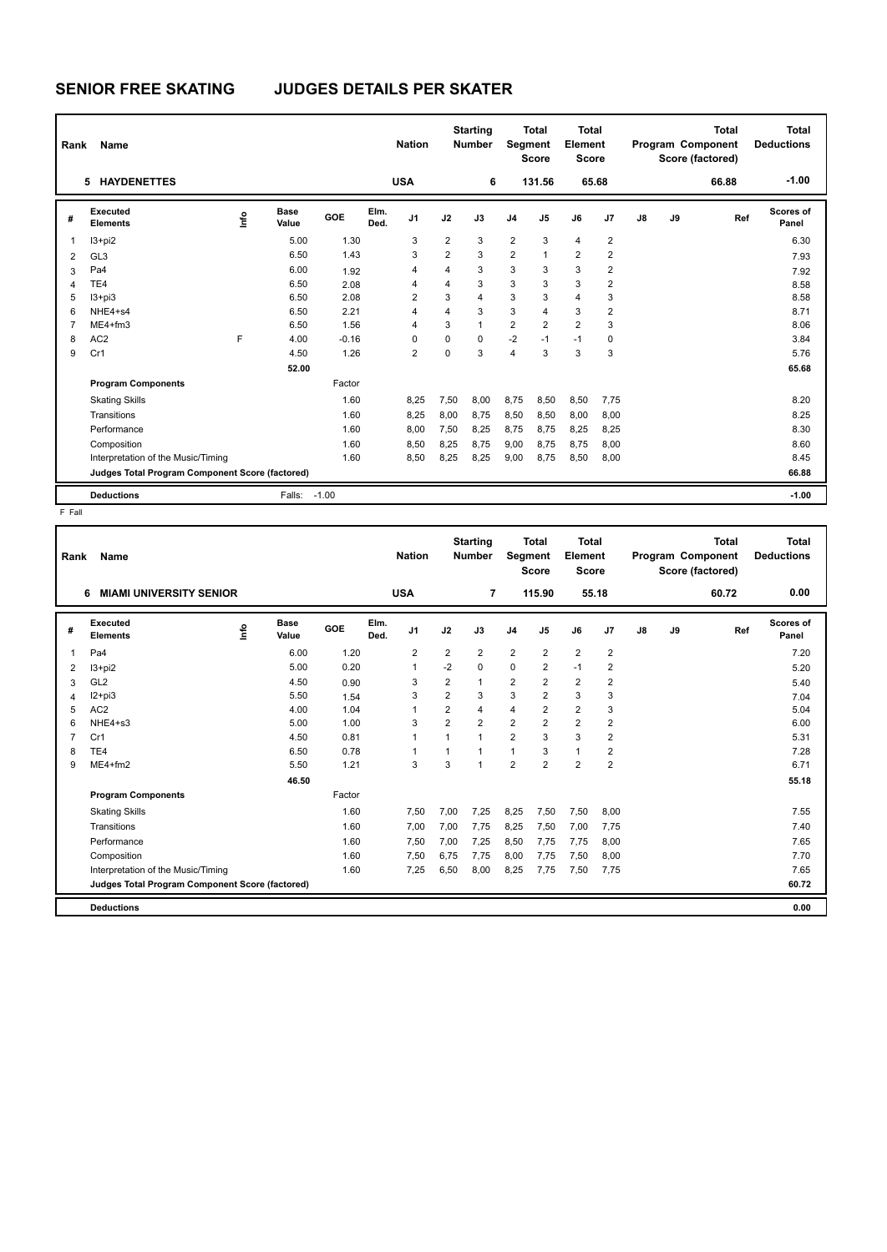| Rank           | Name                                            |   |                      |         |              | <b>Nation</b>  |                | <b>Starting</b><br><b>Number</b> | <b>Segment</b> | <b>Total</b><br><b>Score</b> | <b>Total</b><br>Element<br><b>Score</b> |                |    |    | <b>Total</b><br><b>Program Component</b><br>Score (factored) | <b>Total</b><br><b>Deductions</b> |
|----------------|-------------------------------------------------|---|----------------------|---------|--------------|----------------|----------------|----------------------------------|----------------|------------------------------|-----------------------------------------|----------------|----|----|--------------------------------------------------------------|-----------------------------------|
|                | 5 HAYDENETTES                                   |   |                      |         |              | <b>USA</b>     |                | 6                                |                | 131.56                       | 65.68                                   |                |    |    | 66.88                                                        | $-1.00$                           |
| #              | Executed<br><b>Elements</b>                     | ۴ | <b>Base</b><br>Value | GOE     | Elm.<br>Ded. | J <sub>1</sub> | J2             | J3                               | J <sub>4</sub> | J5                           | J6                                      | J7             | J8 | J9 | Ref                                                          | <b>Scores of</b><br>Panel         |
| 1              | $13 + pi2$                                      |   | 5.00                 | 1.30    |              | 3              | $\overline{2}$ | 3                                | $\overline{2}$ | 3                            | $\overline{4}$                          | 2              |    |    |                                                              | 6.30                              |
| 2              | GL <sub>3</sub>                                 |   | 6.50                 | 1.43    |              | 3              | $\overline{2}$ | 3                                | $\overline{2}$ | 1                            | $\overline{2}$                          | $\overline{2}$ |    |    |                                                              | 7.93                              |
| 3              | Pa4                                             |   | 6.00                 | 1.92    |              | 4              | 4              | 3                                | 3              | 3                            | 3                                       | 2              |    |    |                                                              | 7.92                              |
| 4              | TE4                                             |   | 6.50                 | 2.08    |              | $\overline{4}$ | 4              | 3                                | 3              | 3                            | 3                                       | $\overline{2}$ |    |    |                                                              | 8.58                              |
| 5              | $13 + pi3$                                      |   | 6.50                 | 2.08    |              | $\overline{2}$ | 3              | $\overline{4}$                   | 3              | 3                            | $\overline{4}$                          | 3              |    |    |                                                              | 8.58                              |
| 6              | NHE4+s4                                         |   | 6.50                 | 2.21    |              | 4              | 4              | 3                                | 3              | 4                            | 3                                       | $\overline{2}$ |    |    |                                                              | 8.71                              |
| $\overline{7}$ | $ME4 + fm3$                                     |   | 6.50                 | 1.56    |              | $\overline{4}$ | 3              | $\mathbf{1}$                     | $\overline{2}$ | $\overline{2}$               | $\overline{2}$                          | 3              |    |    |                                                              | 8.06                              |
| 8              | AC <sub>2</sub>                                 | F | 4.00                 | $-0.16$ |              | $\Omega$       | $\Omega$       | $\Omega$                         | $-2$           | $-1$                         | $-1$                                    | $\mathbf 0$    |    |    |                                                              | 3.84                              |
| 9              | Cr1                                             |   | 4.50                 | 1.26    |              | $\overline{2}$ | 0              | 3                                | $\overline{4}$ | 3                            | 3                                       | 3              |    |    |                                                              | 5.76                              |
|                |                                                 |   | 52.00                |         |              |                |                |                                  |                |                              |                                         |                |    |    |                                                              | 65.68                             |
|                | <b>Program Components</b>                       |   |                      | Factor  |              |                |                |                                  |                |                              |                                         |                |    |    |                                                              |                                   |
|                | <b>Skating Skills</b>                           |   |                      | 1.60    |              | 8.25           | 7,50           | 8,00                             | 8.75           | 8,50                         | 8,50                                    | 7.75           |    |    |                                                              | 8.20                              |
|                | Transitions                                     |   |                      | 1.60    |              | 8,25           | 8,00           | 8,75                             | 8,50           | 8,50                         | 8,00                                    | 8,00           |    |    |                                                              | 8.25                              |
|                | Performance                                     |   |                      | 1.60    |              | 8,00           | 7,50           | 8,25                             | 8,75           | 8,75                         | 8,25                                    | 8,25           |    |    |                                                              | 8.30                              |
|                | Composition                                     |   |                      | 1.60    |              | 8,50           | 8,25           | 8.75                             | 9,00           | 8,75                         | 8.75                                    | 8,00           |    |    |                                                              | 8.60                              |
|                | Interpretation of the Music/Timing              |   |                      | 1.60    |              | 8,50           | 8,25           | 8,25                             | 9,00           | 8,75                         | 8,50                                    | 8,00           |    |    |                                                              | 8.45                              |
|                | Judges Total Program Component Score (factored) |   |                      |         |              |                |                |                                  |                |                              |                                         |                |    |    |                                                              | 66.88                             |
|                | <b>Deductions</b>                               |   | Falls:               | $-1.00$ |              |                |                |                                  |                |                              |                                         |                |    |    |                                                              | $-1.00$                           |

| Rank           | Name                                            |      |                      |        |              | <b>Nation</b>  |                | <b>Starting</b><br><b>Number</b> | Segment        | <b>Total</b><br><b>Score</b> | <b>Total</b><br>Element<br><b>Score</b> |                |               |    | <b>Total</b><br>Program Component<br>Score (factored) | <b>Total</b><br><b>Deductions</b> |
|----------------|-------------------------------------------------|------|----------------------|--------|--------------|----------------|----------------|----------------------------------|----------------|------------------------------|-----------------------------------------|----------------|---------------|----|-------------------------------------------------------|-----------------------------------|
|                | <b>MIAMI UNIVERSITY SENIOR</b><br>6             |      |                      |        |              | <b>USA</b>     |                | 7                                |                | 115.90                       | 55.18                                   |                |               |    | 60.72                                                 | 0.00                              |
| #              | Executed<br><b>Elements</b>                     | ١nf٥ | <b>Base</b><br>Value | GOE    | Elm.<br>Ded. | J <sub>1</sub> | J2             | J3                               | J <sub>4</sub> | J <sub>5</sub>               | J6                                      | J7             | $\mathsf{J}8$ | J9 | Ref                                                   | Scores of<br>Panel                |
| 1              | Pa4                                             |      | 6.00                 | 1.20   |              | 2              | $\overline{2}$ | $\overline{2}$                   | $\overline{2}$ | $\overline{2}$               | $\overline{2}$                          | $\overline{2}$ |               |    |                                                       | 7.20                              |
| 2              | $13 + pi2$                                      |      | 5.00                 | 0.20   |              | $\overline{1}$ | $-2$           | 0                                | $\mathbf 0$    | $\overline{2}$               | $-1$                                    | $\overline{2}$ |               |    |                                                       | 5.20                              |
| 3              | GL <sub>2</sub>                                 |      | 4.50                 | 0.90   |              | 3              | 2              | 1                                | $\overline{2}$ | $\overline{2}$               | $\overline{2}$                          | $\overline{2}$ |               |    |                                                       | 5.40                              |
| 4              | $I2+pi3$                                        |      | 5.50                 | 1.54   |              | 3              | $\overline{2}$ | 3                                | 3              | $\overline{2}$               | 3                                       | 3              |               |    |                                                       | 7.04                              |
| 5              | AC <sub>2</sub>                                 |      | 4.00                 | 1.04   |              | 1              | $\overline{2}$ | 4                                | $\overline{4}$ | $\overline{2}$               | $\overline{2}$                          | 3              |               |    |                                                       | 5.04                              |
| 6              | NHE4+s3                                         |      | 5.00                 | 1.00   |              | 3              | $\overline{2}$ | $\overline{2}$                   | $\overline{2}$ | $\overline{2}$               | $\overline{2}$                          | $\overline{2}$ |               |    |                                                       | 6.00                              |
| $\overline{7}$ | Cr1                                             |      | 4.50                 | 0.81   |              | $\mathbf{1}$   | 1              | $\mathbf{1}$                     | $\overline{2}$ | 3                            | 3                                       | $\overline{2}$ |               |    |                                                       | 5.31                              |
| 8              | TE <sub>4</sub>                                 |      | 6.50                 | 0.78   |              | -1             |                | 1                                | $\mathbf{1}$   | 3                            | $\mathbf{1}$                            | 2              |               |    |                                                       | 7.28                              |
| 9              | $ME4 + fm2$                                     |      | 5.50                 | 1.21   |              | 3              | 3              | $\mathbf{1}$                     | $\overline{2}$ | $\overline{2}$               | $\overline{2}$                          | $\overline{2}$ |               |    |                                                       | 6.71                              |
|                |                                                 |      | 46.50                |        |              |                |                |                                  |                |                              |                                         |                |               |    |                                                       | 55.18                             |
|                | <b>Program Components</b>                       |      |                      | Factor |              |                |                |                                  |                |                              |                                         |                |               |    |                                                       |                                   |
|                | <b>Skating Skills</b>                           |      |                      | 1.60   |              | 7,50           | 7,00           | 7,25                             | 8,25           | 7,50                         | 7,50                                    | 8,00           |               |    |                                                       | 7.55                              |
|                | Transitions                                     |      |                      | 1.60   |              | 7,00           | 7,00           | 7,75                             | 8,25           | 7,50                         | 7,00                                    | 7,75           |               |    |                                                       | 7.40                              |
|                | Performance                                     |      |                      | 1.60   |              | 7,50           | 7,00           | 7,25                             | 8,50           | 7,75                         | 7,75                                    | 8,00           |               |    |                                                       | 7.65                              |
|                | Composition                                     |      |                      | 1.60   |              | 7,50           | 6,75           | 7,75                             | 8,00           | 7,75                         | 7,50                                    | 8,00           |               |    |                                                       | 7.70                              |
|                | Interpretation of the Music/Timing              |      |                      | 1.60   |              | 7,25           | 6,50           | 8,00                             | 8,25           | 7,75                         | 7,50                                    | 7,75           |               |    |                                                       | 7.65                              |
|                | Judges Total Program Component Score (factored) |      |                      |        |              |                |                |                                  |                |                              |                                         |                |               |    |                                                       | 60.72                             |
|                | <b>Deductions</b>                               |      |                      |        |              |                |                |                                  |                |                              |                                         |                |               |    |                                                       | 0.00                              |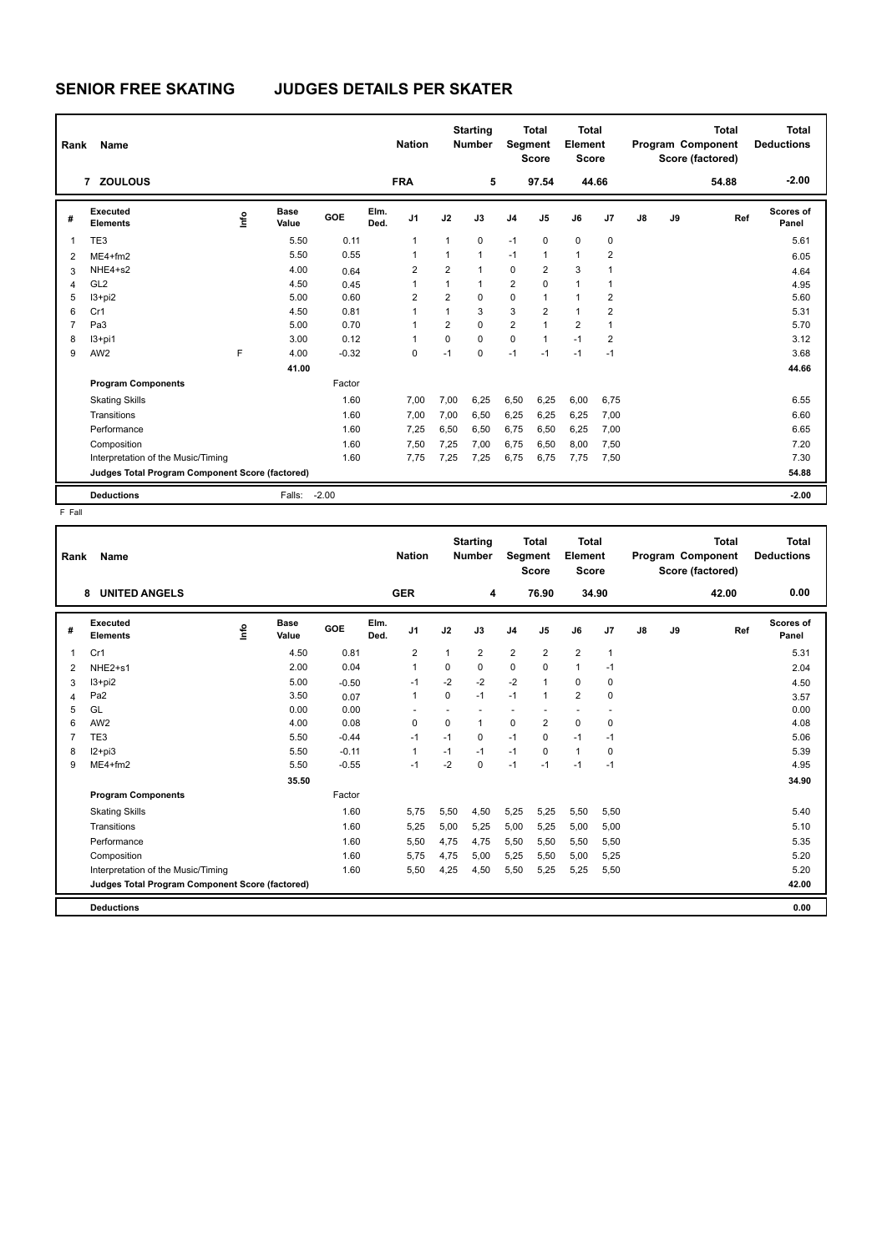| Rank           | Name                                            |      |                      |         |              | <b>Nation</b>  |                | <b>Starting</b><br><b>Number</b> | Segment        | <b>Total</b><br><b>Score</b> | <b>Total</b><br>Element<br><b>Score</b> |                |    |    | <b>Total</b><br><b>Program Component</b><br>Score (factored) | <b>Total</b><br><b>Deductions</b> |
|----------------|-------------------------------------------------|------|----------------------|---------|--------------|----------------|----------------|----------------------------------|----------------|------------------------------|-----------------------------------------|----------------|----|----|--------------------------------------------------------------|-----------------------------------|
|                | 7 ZOULOUS                                       |      |                      |         |              | <b>FRA</b>     |                | 5                                |                | 97.54                        | 44.66                                   |                |    |    | 54.88                                                        | $-2.00$                           |
| #              | Executed<br><b>Elements</b>                     | lnfo | <b>Base</b><br>Value | GOE     | Elm.<br>Ded. | J1             | J2             | J3                               | J <sub>4</sub> | J <sub>5</sub>               | J6                                      | J <sub>7</sub> | J8 | J9 | Ref                                                          | Scores of<br>Panel                |
| 1              | TE3                                             |      | 5.50                 | 0.11    |              | 1              | 1              | $\mathbf 0$                      | $-1$           | $\mathbf 0$                  | $\mathbf 0$                             | 0              |    |    |                                                              | 5.61                              |
| $\overline{2}$ | $ME4 + fm2$                                     |      | 5.50                 | 0.55    |              |                | $\mathbf{1}$   | $\mathbf{1}$                     | $-1$           | $\mathbf{1}$                 | $\mathbf{1}$                            | 2              |    |    |                                                              | 6.05                              |
| 3              | NHE4+s2                                         |      | 4.00                 | 0.64    |              | $\overline{2}$ | $\overline{2}$ | $\overline{1}$                   | $\mathbf 0$    | $\overline{2}$               | 3                                       |                |    |    |                                                              | 4.64                              |
| 4              | GL <sub>2</sub>                                 |      | 4.50                 | 0.45    |              | 1              | 1              | $\mathbf{1}$                     | 2              | 0                            | $\overline{1}$                          | 1              |    |    |                                                              | 4.95                              |
| 5              | $13 + pi2$                                      |      | 5.00                 | 0.60    |              | $\overline{2}$ | $\overline{2}$ | $\mathbf 0$                      | $\mathbf 0$    | 1                            | $\mathbf{1}$                            | 2              |    |    |                                                              | 5.60                              |
| 6              | Cr1                                             |      | 4.50                 | 0.81    |              | 1              | $\overline{1}$ | 3                                | 3              | $\overline{2}$               | $\overline{1}$                          | $\overline{2}$ |    |    |                                                              | 5.31                              |
| $\overline{7}$ | Pa3                                             |      | 5.00                 | 0.70    |              | 1              | $\overline{2}$ | $\mathbf 0$                      | $\overline{2}$ | $\overline{1}$               | $\overline{2}$                          | $\mathbf{1}$   |    |    |                                                              | 5.70                              |
| 8              | I3+pi1                                          |      | 3.00                 | 0.12    |              | 1              | $\Omega$       | $\Omega$                         | $\mathbf 0$    | $\mathbf{1}$                 | $-1$                                    | 2              |    |    |                                                              | 3.12                              |
| 9              | AW <sub>2</sub>                                 | F    | 4.00                 | $-0.32$ |              | 0              | $-1$           | $\Omega$                         | $-1$           | $-1$                         | $-1$                                    | $-1$           |    |    |                                                              | 3.68                              |
|                |                                                 |      | 41.00                |         |              |                |                |                                  |                |                              |                                         |                |    |    |                                                              | 44.66                             |
|                | <b>Program Components</b>                       |      |                      | Factor  |              |                |                |                                  |                |                              |                                         |                |    |    |                                                              |                                   |
|                | <b>Skating Skills</b>                           |      |                      | 1.60    |              | 7,00           | 7,00           | 6,25                             | 6,50           | 6,25                         | 6,00                                    | 6,75           |    |    |                                                              | 6.55                              |
|                | Transitions                                     |      |                      | 1.60    |              | 7,00           | 7,00           | 6,50                             | 6,25           | 6,25                         | 6,25                                    | 7,00           |    |    |                                                              | 6.60                              |
|                | Performance                                     |      |                      | 1.60    |              | 7,25           | 6,50           | 6,50                             | 6,75           | 6,50                         | 6,25                                    | 7,00           |    |    |                                                              | 6.65                              |
|                | Composition                                     |      |                      | 1.60    |              | 7,50           | 7,25           | 7.00                             | 6,75           | 6,50                         | 8,00                                    | 7,50           |    |    |                                                              | 7.20                              |
|                | Interpretation of the Music/Timing              |      |                      | 1.60    |              | 7,75           | 7,25           | 7,25                             | 6,75           | 6,75                         | 7,75                                    | 7,50           |    |    |                                                              | 7.30                              |
|                | Judges Total Program Component Score (factored) |      |                      |         |              |                |                |                                  |                |                              |                                         |                |    |    |                                                              | 54.88                             |
|                | <b>Deductions</b>                               |      | Falls:               | $-2.00$ |              |                |                |                                  |                |                              |                                         |                |    |    |                                                              | $-2.00$                           |

| Rank           | <b>Name</b>                                     |      |                      |         |              | <b>Nation</b>  |             | <b>Starting</b><br><b>Number</b> | <b>Segment</b> | <b>Total</b><br><b>Score</b> | <b>Total</b><br>Element<br><b>Score</b> |                |               |    | <b>Total</b><br>Program Component<br>Score (factored) | <b>Total</b><br><b>Deductions</b> |
|----------------|-------------------------------------------------|------|----------------------|---------|--------------|----------------|-------------|----------------------------------|----------------|------------------------------|-----------------------------------------|----------------|---------------|----|-------------------------------------------------------|-----------------------------------|
|                | <b>UNITED ANGELS</b><br>8                       |      |                      |         |              | <b>GER</b>     |             | 4                                |                | 76.90                        |                                         | 34.90          |               |    | 42.00                                                 | 0.00                              |
| #              | <b>Executed</b><br><b>Elements</b>              | lnfo | <b>Base</b><br>Value | GOE     | Elm.<br>Ded. | J <sub>1</sub> | J2          | J3                               | J <sub>4</sub> | J5                           | J6                                      | J7             | $\mathsf{J}8$ | J9 | Ref                                                   | Scores of<br>Panel                |
| 1              | Cr1                                             |      | 4.50                 | 0.81    |              | $\overline{2}$ | 1           | $\overline{2}$                   | $\overline{2}$ | $\overline{2}$               | $\overline{2}$                          | $\overline{1}$ |               |    |                                                       | 5.31                              |
| 2              | NHE2+s1                                         |      | 2.00                 | 0.04    |              | $\mathbf{1}$   | $\Omega$    | 0                                | $\mathbf 0$    | $\Omega$                     | $\mathbf{1}$                            | $-1$           |               |    |                                                       | 2.04                              |
| 3              | $13 + pi2$                                      |      | 5.00                 | $-0.50$ |              | $-1$           | $-2$        | $-2$                             | $-2$           | $\mathbf{1}$                 | $\Omega$                                | 0              |               |    |                                                       | 4.50                              |
| 4              | Pa <sub>2</sub>                                 |      | 3.50                 | 0.07    |              | $\mathbf{1}$   | $\mathbf 0$ | $-1$                             | $-1$           | 1                            | $\overline{2}$                          | 0              |               |    |                                                       | 3.57                              |
| 5              | GL                                              |      | 0.00                 | 0.00    |              |                |             |                                  | ۰              |                              | $\overline{\phantom{a}}$                |                |               |    |                                                       | 0.00                              |
| 6              | AW <sub>2</sub>                                 |      | 4.00                 | 0.08    |              | $\Omega$       | $\Omega$    | 1                                | $\mathbf 0$    | $\overline{2}$               | $\Omega$                                | 0              |               |    |                                                       | 4.08                              |
| $\overline{7}$ | TE <sub>3</sub>                                 |      | 5.50                 | $-0.44$ |              | $-1$           | $-1$        | $\Omega$                         | $-1$           | 0                            | $-1$                                    | $-1$           |               |    |                                                       | 5.06                              |
| 8              | $12+pi3$                                        |      | 5.50                 | $-0.11$ |              | $\mathbf{1}$   | $-1$        | $-1$                             | $-1$           | $\Omega$                     | $\mathbf{1}$                            | 0              |               |    |                                                       | 5.39                              |
| 9              | $ME4 + fm2$                                     |      | 5.50                 | $-0.55$ |              | $-1$           | $-2$        | $\Omega$                         | $-1$           | $-1$                         | $-1$                                    | $-1$           |               |    |                                                       | 4.95                              |
|                |                                                 |      | 35.50                |         |              |                |             |                                  |                |                              |                                         |                |               |    |                                                       | 34.90                             |
|                | <b>Program Components</b>                       |      |                      | Factor  |              |                |             |                                  |                |                              |                                         |                |               |    |                                                       |                                   |
|                | <b>Skating Skills</b>                           |      |                      | 1.60    |              | 5.75           | 5,50        | 4,50                             | 5,25           | 5,25                         | 5,50                                    | 5,50           |               |    |                                                       | 5.40                              |
|                | Transitions                                     |      |                      | 1.60    |              | 5,25           | 5,00        | 5.25                             | 5,00           | 5,25                         | 5,00                                    | 5,00           |               |    |                                                       | 5.10                              |
|                | Performance                                     |      |                      | 1.60    |              | 5,50           | 4,75        | 4,75                             | 5,50           | 5,50                         | 5,50                                    | 5,50           |               |    |                                                       | 5.35                              |
|                | Composition                                     |      |                      | 1.60    |              | 5,75           | 4,75        | 5,00                             | 5,25           | 5,50                         | 5,00                                    | 5,25           |               |    |                                                       | 5.20                              |
|                | Interpretation of the Music/Timing              |      |                      | 1.60    |              | 5,50           | 4,25        | 4,50                             | 5,50           | 5,25                         | 5,25                                    | 5,50           |               |    |                                                       | 5.20                              |
|                | Judges Total Program Component Score (factored) |      |                      |         |              |                |             |                                  |                |                              |                                         |                |               |    |                                                       | 42.00                             |
|                | <b>Deductions</b>                               |      |                      |         |              |                |             |                                  |                |                              |                                         |                |               |    |                                                       | 0.00                              |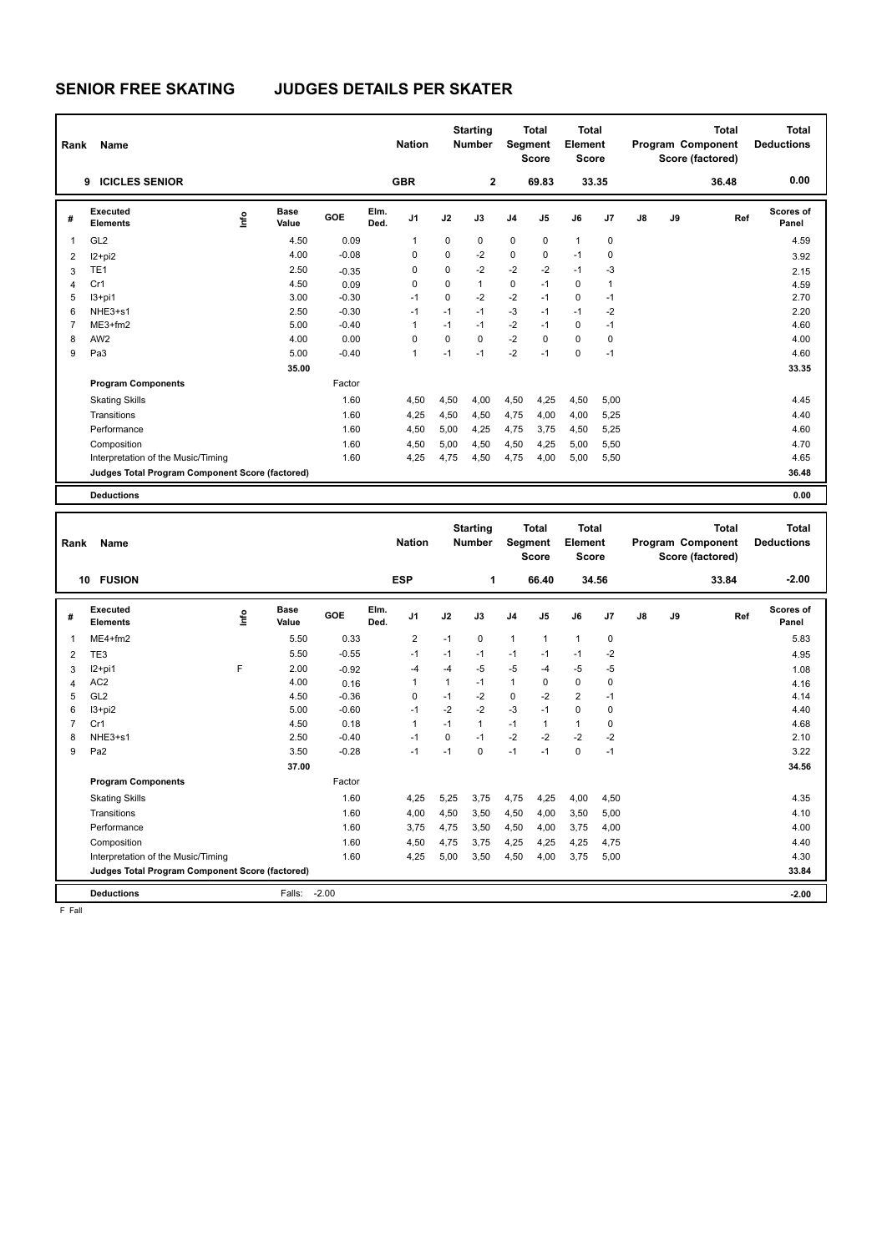| Rank           | Name                                            |                              |         |              | <b>Nation</b>  |             | <b>Starting</b><br><b>Number</b> |                | <b>Total</b><br>Segment<br><b>Score</b> | <b>Total</b><br>Element<br><b>Score</b> |              |               |    | <b>Total</b><br>Program Component<br>Score (factored) | Total<br><b>Deductions</b> |
|----------------|-------------------------------------------------|------------------------------|---------|--------------|----------------|-------------|----------------------------------|----------------|-----------------------------------------|-----------------------------------------|--------------|---------------|----|-------------------------------------------------------|----------------------------|
|                | <b>ICICLES SENIOR</b><br>9                      |                              |         |              | <b>GBR</b>     |             | $\mathbf{2}$                     |                | 69.83                                   |                                         | 33.35        |               |    | 36.48                                                 | 0.00                       |
| #              | Executed<br><b>Elements</b>                     | <b>Base</b><br>Info<br>Value | GOE     | Elm.<br>Ded. | J <sub>1</sub> | J2          | J3                               | J <sub>4</sub> | J5                                      | J6                                      | J7           | $\mathsf{J}8$ | J9 | Ref                                                   | <b>Scores of</b><br>Panel  |
| $\mathbf{1}$   | GL <sub>2</sub>                                 | 4.50                         | 0.09    |              | 1              | $\mathbf 0$ | 0                                | $\pmb{0}$      | 0                                       | $\overline{1}$                          | 0            |               |    |                                                       | 4.59                       |
| 2              | I2+pi2                                          | 4.00                         | $-0.08$ |              | 0              | $\mathbf 0$ | $-2$                             | 0              | 0                                       | $-1$                                    | 0            |               |    |                                                       | 3.92                       |
| 3              | TE <sub>1</sub>                                 | 2.50                         | $-0.35$ |              | 0              | $\Omega$    | $-2$                             | $-2$           | $-2$                                    | $-1$                                    | -3           |               |    |                                                       | 2.15                       |
| $\overline{4}$ | Cr1                                             | 4.50                         | 0.09    |              | 0              | $\Omega$    | $\mathbf{1}$                     | 0              | $-1$                                    | 0                                       | $\mathbf{1}$ |               |    |                                                       | 4.59                       |
| 5              | $13+pi1$                                        | 3.00                         | $-0.30$ |              | $-1$           | 0           | $-2$                             | $-2$           | $-1$                                    | 0                                       | $-1$         |               |    |                                                       | 2.70                       |
| 6              | NHE3+s1                                         | 2.50                         | $-0.30$ |              | $-1$           | $-1$        | $-1$                             | $-3$           | $-1$                                    | $-1$                                    | $-2$         |               |    |                                                       | 2.20                       |
| $\overline{7}$ | $ME3+fm2$                                       | 5.00                         | $-0.40$ |              | 1              | $-1$        | $-1$                             | $-2$           | $-1$                                    | $\mathbf 0$                             | $-1$         |               |    |                                                       | 4.60                       |
| 8              | AW <sub>2</sub>                                 | 4.00                         | 0.00    |              | $\Omega$       | $\mathbf 0$ | $\mathbf 0$                      | $-2$           | 0                                       | $\Omega$                                | $\mathbf 0$  |               |    |                                                       | 4.00                       |
| 9              | Pa3                                             | 5.00                         | $-0.40$ |              | 1              | $-1$        | $-1$                             | $-2$           | $-1$                                    | 0                                       | $-1$         |               |    |                                                       | 4.60                       |
|                |                                                 | 35.00                        |         |              |                |             |                                  |                |                                         |                                         |              |               |    |                                                       | 33.35                      |
|                | <b>Program Components</b>                       |                              | Factor  |              |                |             |                                  |                |                                         |                                         |              |               |    |                                                       |                            |
|                | <b>Skating Skills</b>                           |                              | 1.60    |              | 4,50           | 4,50        | 4,00                             | 4,50           | 4,25                                    | 4,50                                    | 5,00         |               |    |                                                       | 4.45                       |
|                | Transitions                                     |                              | 1.60    |              | 4,25           | 4,50        | 4,50                             | 4,75           | 4,00                                    | 4,00                                    | 5,25         |               |    |                                                       | 4.40                       |
|                | Performance                                     |                              | 1.60    |              | 4,50           | 5,00        | 4,25                             | 4,75           | 3,75                                    | 4,50                                    | 5,25         |               |    |                                                       | 4.60                       |
|                | Composition                                     |                              | 1.60    |              | 4,50           | 5,00        | 4,50                             | 4,50           | 4,25                                    | 5.00                                    | 5,50         |               |    |                                                       | 4.70                       |
|                | Interpretation of the Music/Timing              |                              | 1.60    |              | 4,25           | 4,75        | 4,50                             | 4,75           | 4,00                                    | 5,00                                    | 5,50         |               |    |                                                       | 4.65                       |
|                | Judges Total Program Component Score (factored) |                              |         |              |                |             |                                  |                |                                         |                                         |              |               |    |                                                       | 36.48                      |
|                | <b>Deductions</b>                               |                              |         |              |                |             |                                  |                |                                         |                                         |              |               |    |                                                       | 0.00                       |

| Rank           | Name                                            |      |                      |         |              | <b>Nation</b>  |              | <b>Starting</b><br><b>Number</b> | Segment        | <b>Total</b><br><b>Score</b> | <b>Total</b><br>Element<br><b>Score</b> |                |    |    | <b>Total</b><br>Program Component<br>Score (factored) | <b>Total</b><br><b>Deductions</b> |
|----------------|-------------------------------------------------|------|----------------------|---------|--------------|----------------|--------------|----------------------------------|----------------|------------------------------|-----------------------------------------|----------------|----|----|-------------------------------------------------------|-----------------------------------|
|                | <b>FUSION</b><br>10                             |      |                      |         |              | <b>ESP</b>     |              | 1                                |                | 66.40                        | 34.56                                   |                |    |    | 33.84                                                 | $-2.00$                           |
| #              | Executed<br><b>Elements</b>                     | lnfo | <b>Base</b><br>Value | GOE     | Elm.<br>Ded. | J <sub>1</sub> | J2           | J3                               | J <sub>4</sub> | J <sub>5</sub>               | J6                                      | J <sub>7</sub> | J8 | J9 | Ref                                                   | Scores of<br>Panel                |
| $\overline{1}$ | $ME4 + fm2$                                     |      | 5.50                 | 0.33    |              | $\overline{2}$ | $-1$         | $\mathbf 0$                      | $\mathbf{1}$   | $\mathbf{1}$                 | $\mathbf{1}$                            | $\pmb{0}$      |    |    |                                                       | 5.83                              |
| $\overline{2}$ | TE <sub>3</sub>                                 |      | 5.50                 | $-0.55$ |              | $-1$           | $-1$         | $-1$                             | $-1$           | $-1$                         | $-1$                                    | $-2$           |    |    |                                                       | 4.95                              |
| 3              | I2+pi1                                          | F    | 2.00                 | $-0.92$ |              | $-4$           | $-4$         | $-5$                             | $-5$           | $-4$                         | $-5$                                    | $-5$           |    |    |                                                       | 1.08                              |
| 4              | AC <sub>2</sub>                                 |      | 4.00                 | 0.16    |              | -1             | $\mathbf{1}$ | $-1$                             | $\mathbf{1}$   | $\Omega$                     | $\mathbf 0$                             | 0              |    |    |                                                       | 4.16                              |
| 5              | GL <sub>2</sub>                                 |      | 4.50                 | $-0.36$ |              | $\Omega$       | $-1$         | $-2$                             | 0              | $-2$                         | $\overline{2}$                          | $-1$           |    |    |                                                       | 4.14                              |
| 6              | $13 + pi2$                                      |      | 5.00                 | $-0.60$ |              | $-1$           | $-2$         | $-2$                             | $-3$           | $-1$                         | $\mathbf 0$                             | 0              |    |    |                                                       | 4.40                              |
| $\overline{7}$ | Cr1                                             |      | 4.50                 | 0.18    |              | $\overline{1}$ | $-1$         | $\mathbf{1}$                     | $-1$           | $\mathbf{1}$                 | $\mathbf{1}$                            | 0              |    |    |                                                       | 4.68                              |
| 8              | NHE3+s1                                         |      | 2.50                 | $-0.40$ |              | $-1$           | $\mathbf 0$  | $-1$                             | $-2$           | $-2$                         | $-2$                                    | $-2$           |    |    |                                                       | 2.10                              |
| 9              | Pa <sub>2</sub>                                 |      | 3.50                 | $-0.28$ |              | -1             | $-1$         | 0                                | $-1$           | $-1$                         | 0                                       | $-1$           |    |    |                                                       | 3.22                              |
|                |                                                 |      | 37.00                |         |              |                |              |                                  |                |                              |                                         |                |    |    |                                                       | 34.56                             |
|                | <b>Program Components</b>                       |      |                      | Factor  |              |                |              |                                  |                |                              |                                         |                |    |    |                                                       |                                   |
|                | <b>Skating Skills</b>                           |      |                      | 1.60    |              | 4,25           | 5,25         | 3.75                             | 4,75           | 4,25                         | 4,00                                    | 4,50           |    |    |                                                       | 4.35                              |
|                | Transitions                                     |      |                      | 1.60    |              | 4.00           | 4,50         | 3,50                             | 4,50           | 4,00                         | 3,50                                    | 5,00           |    |    |                                                       | 4.10                              |
|                | Performance                                     |      |                      | 1.60    |              | 3.75           | 4.75         | 3,50                             | 4,50           | 4,00                         | 3.75                                    | 4,00           |    |    |                                                       | 4.00                              |
|                | Composition                                     |      |                      | 1.60    |              | 4.50           | 4,75         | 3.75                             | 4,25           | 4,25                         | 4,25                                    | 4,75           |    |    |                                                       | 4.40                              |
|                | Interpretation of the Music/Timing              |      |                      | 1.60    |              | 4,25           | 5,00         | 3,50                             | 4,50           | 4,00                         | 3,75                                    | 5,00           |    |    |                                                       | 4.30                              |
|                | Judges Total Program Component Score (factored) |      |                      |         |              |                |              |                                  |                |                              |                                         |                |    |    |                                                       | 33.84                             |
|                | <b>Deductions</b>                               |      | Falls:               | $-2.00$ |              |                |              |                                  |                |                              |                                         |                |    |    |                                                       | $-2.00$                           |